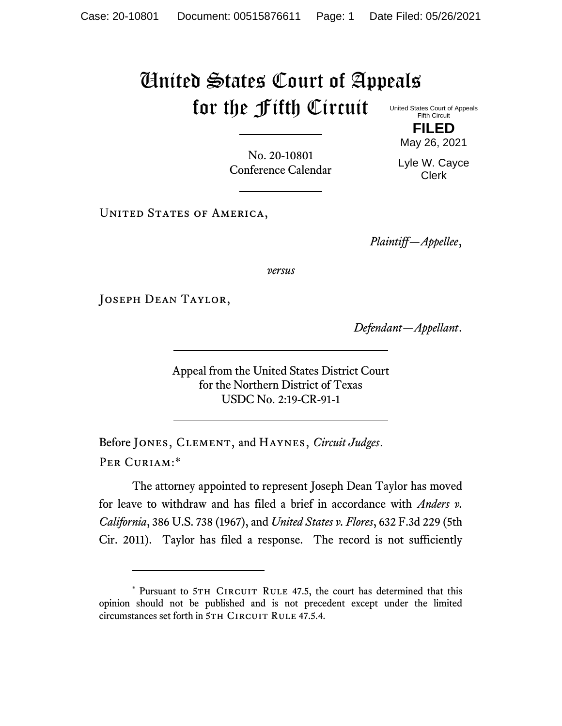## United States Court of Appeals for the Fifth Circuit United States Court of Appeals

Fifth Circuit **FILED**

No. 20-10801 Conference Calendar

May 26, 2021 Lyle W. Cayce Clerk

UNITED STATES OF AMERICA,

*Plaintiff—Appellee*,

*versus*

Joseph Dean Taylor,

*Defendant—Appellant*.

Appeal from the United States District Court for the Northern District of Texas USDC No. 2:19-CR-91-1

Before Jones, Clement, and Haynes, *Circuit Judges*. Per Curiam:\*

<span id="page-0-0"></span>The attorney appointed to represent Joseph Dean Taylor has moved for leave to withdraw and has filed a brief in accordance with *Anders v. California*, 386 U.S. 738 (1967), and *United States v. Flores*, 632 F.3d 229 (5th Cir. 2011). Taylor has filed a response. The record is not sufficiently

<sup>\*</sup> Pursuant to 5TH CIRCUIT RULE 47.5, the court has determined that this opinion should not be published and is not precedent except under the limited circumstances set forth in 5TH CIRCUIT RULE 47.5.4.